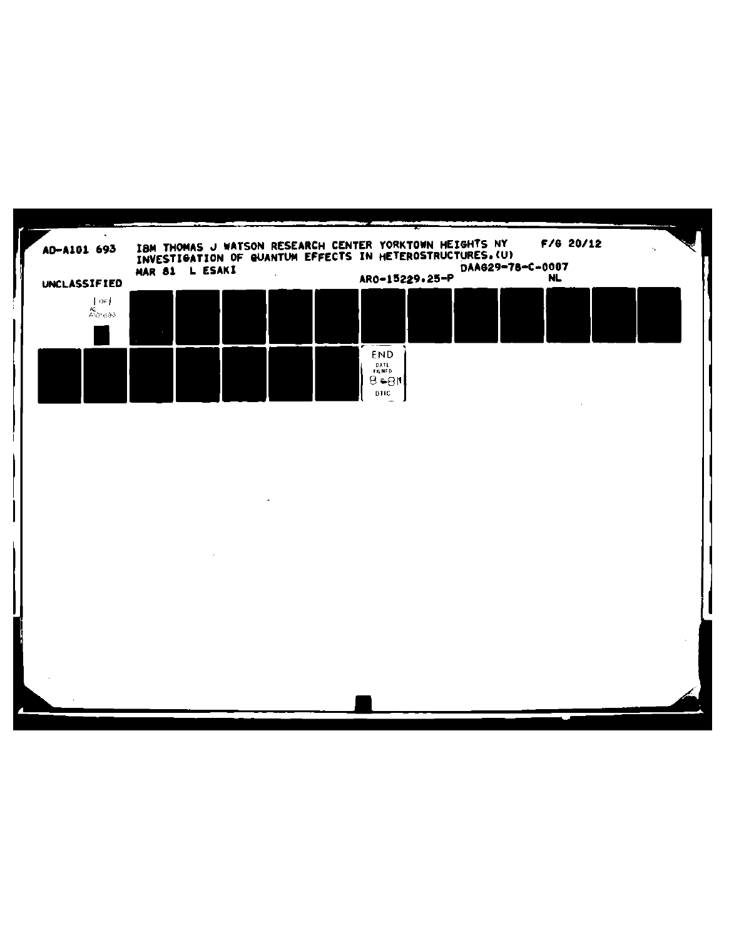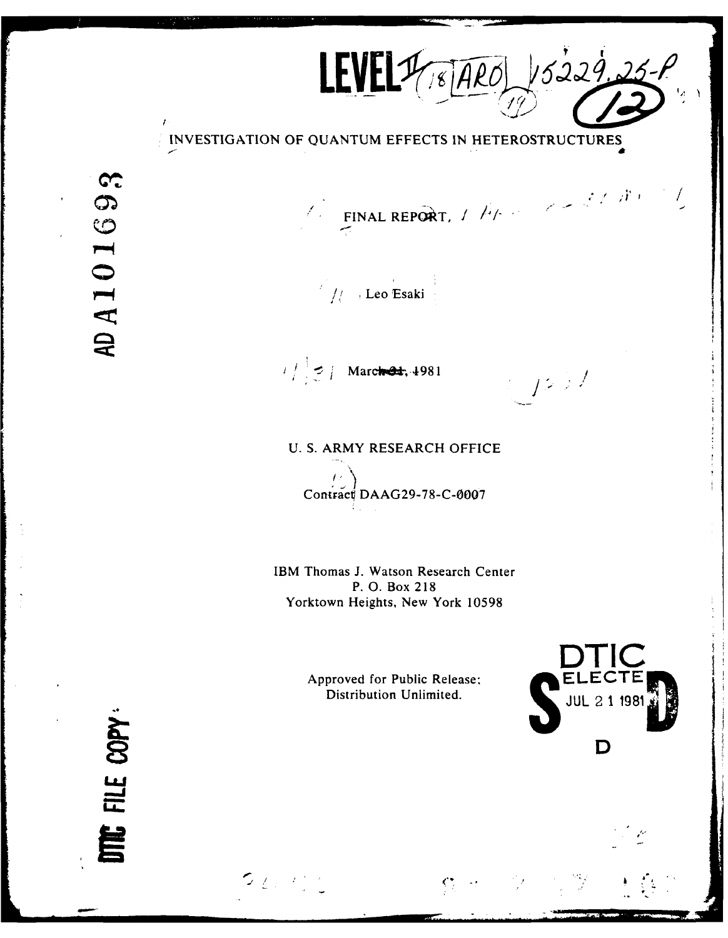$LEVEL17,80401/5229.25-$ 

**INVESTIGATION OF QUANTUM EFFECTS IN** HETEROSTRUCTURES

AD A 101693

 $\overline{1}$ 

 $\mathcal{L} = \text{FINAL REPORT}, \mathcal{L} = \mathcal{L} = \mathcal{L} \mathcal{L} / \mathcal{R}$ 

 $1/$  . Leo Esaki

 $1 / \frac{1}{2}$  / March 24, 4981 *//* /

**U. S.** ARMY RESEARCH OFFICE

 $\overline{L}$ Contrace **DAAG29-78-C-0007**

IBM Thomas **J.** Watson Research Center P. **0.** Box **218** Yorktown Heights, New York **10598**

Approved for Public Release;

 $\sim$   $\sim$ 

 $22.22$ 



 $\sqrt{2}$ 

FILE COPY: 旨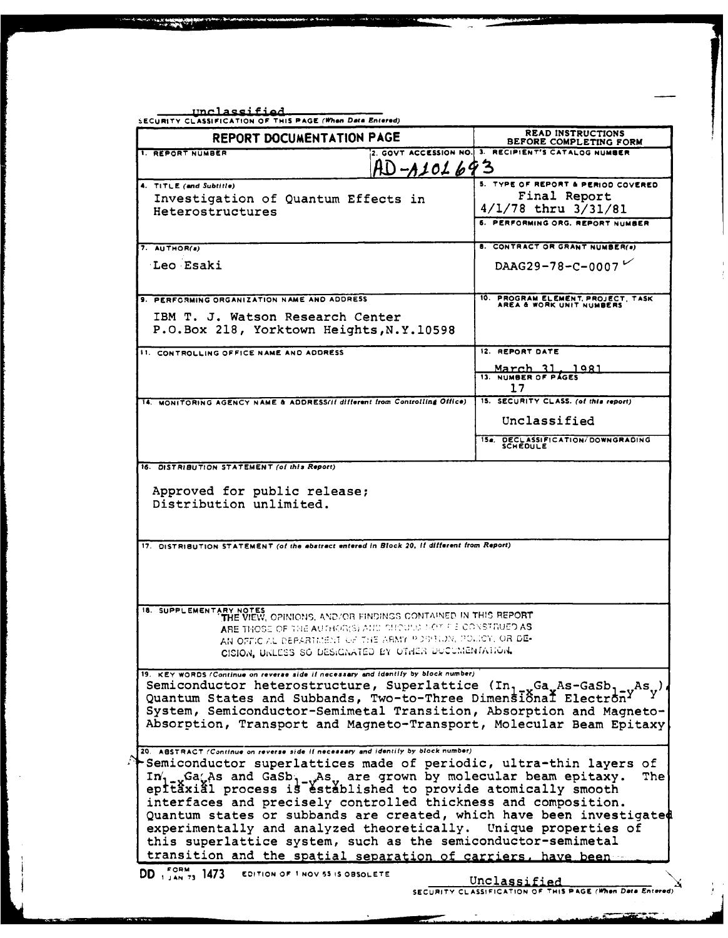| <b>REPORT DOCUMENTATION PAGE</b>                                                                                                                                                                                                                                                                                                                                                                                                                                                                                                                                                                                                                                                                                                                                    | <b>READ INSTRUCTIONS</b><br>BEFORE COMPLETING FORM          |
|---------------------------------------------------------------------------------------------------------------------------------------------------------------------------------------------------------------------------------------------------------------------------------------------------------------------------------------------------------------------------------------------------------------------------------------------------------------------------------------------------------------------------------------------------------------------------------------------------------------------------------------------------------------------------------------------------------------------------------------------------------------------|-------------------------------------------------------------|
| <b>1. REPORT NUMBER</b>                                                                                                                                                                                                                                                                                                                                                                                                                                                                                                                                                                                                                                                                                                                                             | 2. GOVT ACCESSION NO. 3. RECIPIENT'S CATALOG NUMBER         |
| AD <i>-a10169</i> 3                                                                                                                                                                                                                                                                                                                                                                                                                                                                                                                                                                                                                                                                                                                                                 |                                                             |
| 4. TITLE (and Subtitle)                                                                                                                                                                                                                                                                                                                                                                                                                                                                                                                                                                                                                                                                                                                                             | 5. TYPE OF REPORT & PERIOD COVERED                          |
| Investigation of Quantum Effects in                                                                                                                                                                                                                                                                                                                                                                                                                                                                                                                                                                                                                                                                                                                                 | Final Report<br>$4/1/78$ thru $3/31/81$                     |
| Heterostructures                                                                                                                                                                                                                                                                                                                                                                                                                                                                                                                                                                                                                                                                                                                                                    | 6. PERFORMING ORG. REPORT NUMBER                            |
|                                                                                                                                                                                                                                                                                                                                                                                                                                                                                                                                                                                                                                                                                                                                                                     |                                                             |
| 7. AUTHOR(a)                                                                                                                                                                                                                                                                                                                                                                                                                                                                                                                                                                                                                                                                                                                                                        | 8. CONTRACT OR GRANT NUMBER(a)                              |
| Leo Esaki                                                                                                                                                                                                                                                                                                                                                                                                                                                                                                                                                                                                                                                                                                                                                           | DAAG29-78-C-0007                                            |
|                                                                                                                                                                                                                                                                                                                                                                                                                                                                                                                                                                                                                                                                                                                                                                     |                                                             |
| 9. PERFORMING ORGANIZATION NAME AND ADDRESS                                                                                                                                                                                                                                                                                                                                                                                                                                                                                                                                                                                                                                                                                                                         | 10. PROGRAM ELEMENT, PROJECT, TASK AREA & WORK UNIT NUMBERS |
| IBM T. J. Watson Research Center                                                                                                                                                                                                                                                                                                                                                                                                                                                                                                                                                                                                                                                                                                                                    |                                                             |
| P.O.Box 218, Yorktown Heights, N.Y.10598                                                                                                                                                                                                                                                                                                                                                                                                                                                                                                                                                                                                                                                                                                                            |                                                             |
| <b>11. CONTROLLING OFFICE NAME AND ADDRESS</b>                                                                                                                                                                                                                                                                                                                                                                                                                                                                                                                                                                                                                                                                                                                      | 12. REPORT DATE                                             |
|                                                                                                                                                                                                                                                                                                                                                                                                                                                                                                                                                                                                                                                                                                                                                                     |                                                             |
|                                                                                                                                                                                                                                                                                                                                                                                                                                                                                                                                                                                                                                                                                                                                                                     | March 31, 1981                                              |
|                                                                                                                                                                                                                                                                                                                                                                                                                                                                                                                                                                                                                                                                                                                                                                     | 17<br>15. SECURITY CLASS. (of this report)                  |
| 14. MONITORING AGENCY NAME & ADDRESS/II different from Controlling Office)                                                                                                                                                                                                                                                                                                                                                                                                                                                                                                                                                                                                                                                                                          |                                                             |
|                                                                                                                                                                                                                                                                                                                                                                                                                                                                                                                                                                                                                                                                                                                                                                     | Unclassified                                                |
|                                                                                                                                                                                                                                                                                                                                                                                                                                                                                                                                                                                                                                                                                                                                                                     | 154. DECLASSIFICATION/DOWNGRADING<br>SCHEDULE               |
| Approved for public release;<br>Distribution unlimited.                                                                                                                                                                                                                                                                                                                                                                                                                                                                                                                                                                                                                                                                                                             |                                                             |
| 17. DISTRIBUTION STATEMENT (of the abstract entered in Block 20, if different from Report)                                                                                                                                                                                                                                                                                                                                                                                                                                                                                                                                                                                                                                                                          |                                                             |
| 18. SUPPLEMENTARY NOTES<br>THE VIEW, OPINIONS, AND/OR FINDINGS CONTAINED IN THIS REPORT<br>ARE THOSE OF THE AUTHOR(S) AND SHOULD MOT PIE CONSTR<br>AN OFFICIAL DEPARTMENT OF THE ARMY POSSIBON, POLICY, OR DE-<br>CISION, URLESS SO DESIGNATED BY OTHER DOCUMENTATION.                                                                                                                                                                                                                                                                                                                                                                                                                                                                                              |                                                             |
| 19. KEY WORDS (Continue on reverse side if necessary and identify by block number)<br>Semiconductor heterostructure, Superlattice (In <sub>1-x</sub> Ga <sub>x</sub> As-GaSb <sub>1-y</sub> As <sub>y</sub> )<br>Quantum States and Subbands, Two-to-Three Dimensional Electron<br>System, Semiconductor-Semimetal Transition, Absorption and Magneto-<br>Absorption, Transport and Magneto-Transport, Molecular Beam Epitaxy                                                                                                                                                                                                                                                                                                                                       |                                                             |
| 20. ABSTRACT (Continue on reverse side if necessary and identify by block number)<br>Semiconductor superlattices made of periodic, ultra-thin layers of<br>$In_{1-x}$ Ga <sub>x</sub> As and GaSb <sub>1-v</sub> As <sub>v</sub> are grown by molecular beam epitaxy.<br>epitâxiâl process is estáblished to provide atomically smooth<br>interfaces and precisely controlled thickness and composition.<br>Quantum states or subbands are created, which have been investigated<br>experimentally and analyzed theoretically. Unique properties of<br>this superlattice system, such as the semiconductor-semimetal<br>transition and the spatial separation of carriers, have been<br><b>DD</b> , $_{1.4N}^{5.07M}$ , 1473 <b>EDITION OF 1 NOV 55 IS OBSOLETE</b> | <b>The</b>                                                  |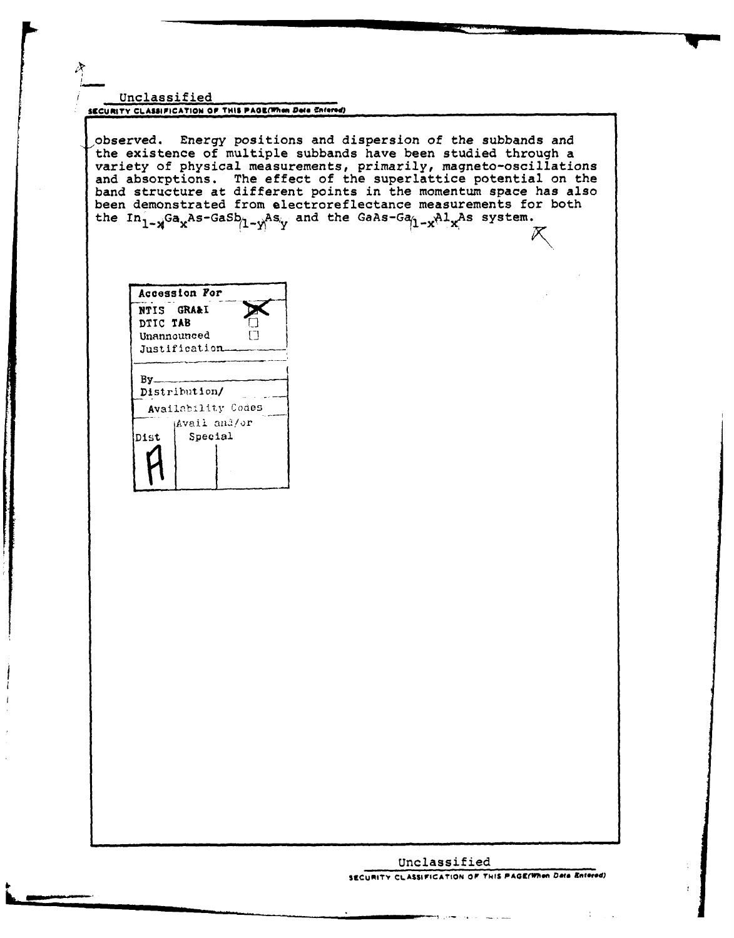#### Unclassified **SECURITY CLASSIFICATION OF THIS PAGE(When Deta Enferred)**

,observed. Energy positions and dispersion of the subbands and the existence of multiple subbands have been studied through a variety of physical measurements, primarily, magneto-oscillations and absorptions. The effect of the superlattice potential on the band structure at different points in the momentum space has also been demonstrated from electroreflectance measurements for both the  $In_{1-x}$ Ga<sub>x</sub>As-GaSb<sub>(1-y</sub>As<sub>y</sub> and the GaAs-Ga<sub>(1-x</sub>Al<sub>x</sub>As system.

Accession *For* **NTIS GRA& I DTIC TAB** Unannounced<br>**Justification** 

**By** Distribution/ Availability Codes (Avail and/or Dist Special

### Unclassified **SECURITY CLASSIFICATION OF T4IS PAGEflonl** *4t* **niterd)**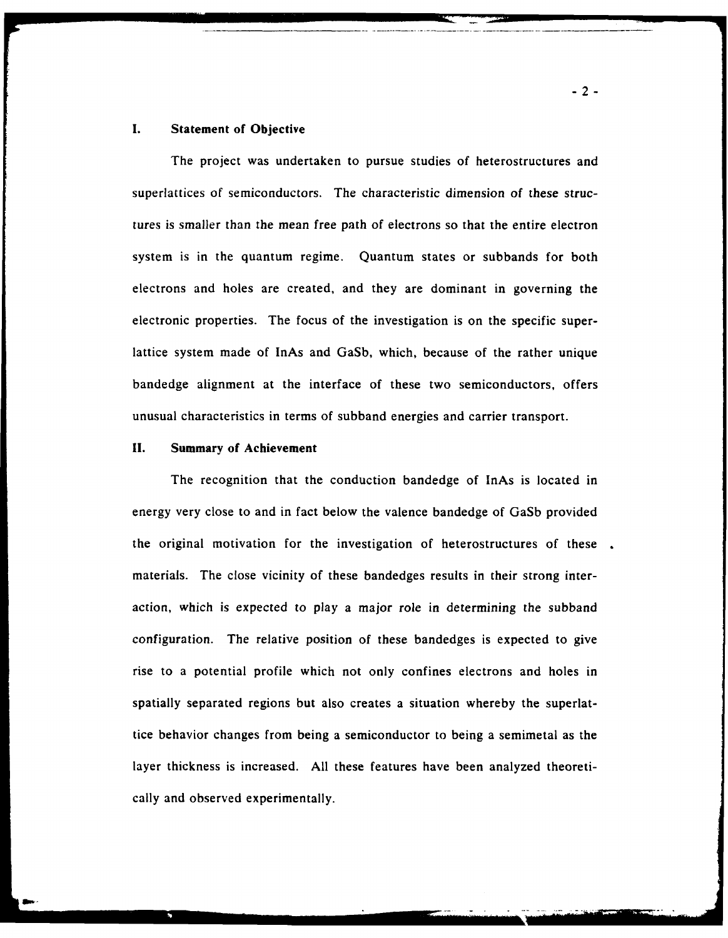# **1.** Statement of Objective

The project was undertaken to pursue studies of heterostructures and superlattices of semiconductors. The characteristic dimension of these structures is smaller than the mean free path of electrons so that the entire electron system is in the quantum regime. Quantum states or subbands for both electrons and holes are created, and they are dominant in governing the electronic properties. The focus of the investigation is on the specific superlattice system made of InAs and GaSb, which, because of the rather unique bandedge alignment at the interface of these two semiconductors, offers unusual characteristics in terms of subband energies and carrier transport.

## **11.** Summary of Achievement

The recognition that the conduction bandedge of InAs is located in energy very close to and in fact below the valence bandedge of GaSb provided the original motivation for the investigation of heterostructures of these. materials. The close vicinity of these bandedges results in their strong interaction, which is expected to play a major role in determining the subband configuration. The relative position of these bandedges is expected to give rise to a potential profile which not only confines electrons and holes in spatially separated regions but also creates a situation whereby the superlattice behavior changes from being a semiconductor to being a semimetal as the layer thickness is increased. All these features have been analyzed theoretically and observed experimentally.

-2-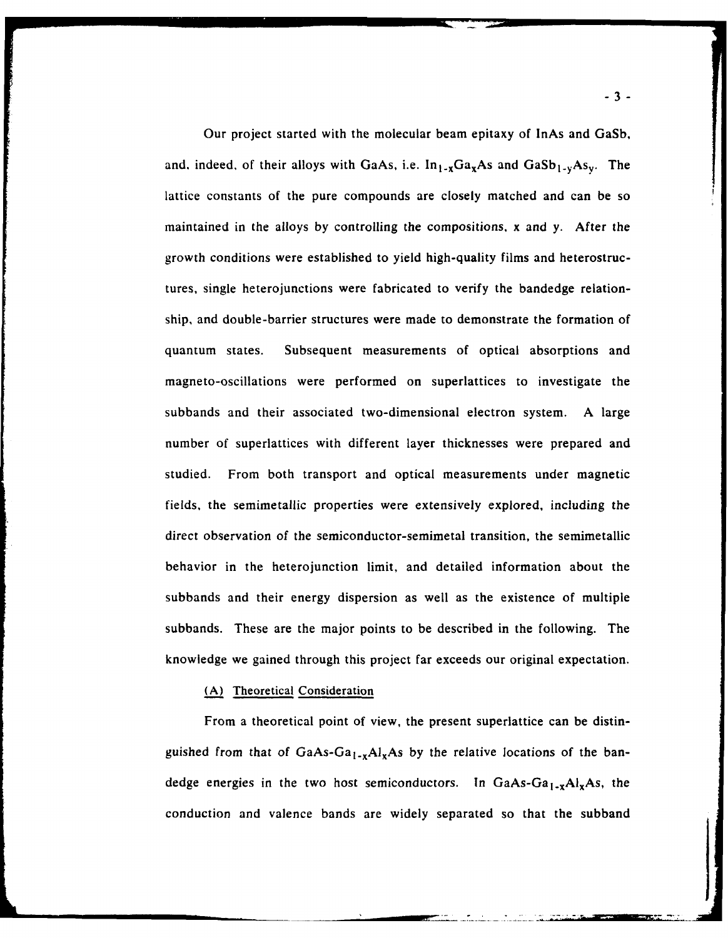Our project started with the molecular beam epitaxy of InAs and GaSb, and, indeed, of their alloys with GaAs, i.e.  $In_{1-x}Ga_xAs$  and  $GaSb_{1-y}As_y$ . The lattice constants of the pure compounds are closely matched and can be so maintained in the alloys by controlling the compositions, x and y. After the growth conditions were established to yield high-quality films and heterostructures, single heterojunctions were fabricated to verify the bandedge relationship, and double-barrier structures were made to demonstrate the formation of quantum states. Subsequent measurements of optical absorptions and magneto-oscillations were performed on superlattices to investigate the subbands and their associated two-dimensional electron system. A large number of superlattices with different layer thicknesses were prepared and studied. From both transport and optical measurements under magnetic fields, the semimetallic properties were extensively explored, including the direct observation of the semiconductor-semimetal transition, the semimetallic behavior in the heterojunction limit, and detailed information about the subbands and their energy dispersion as well as the existence of multiple subbands. These are the major points to be described in the following. The knowledge we gained through this project far exceeds our original expectation.

### (A) Theoretical Consideration

From a theoretical point of view, the present superlattice can be distinguished from that of GaAs-Ga<sub>1-x</sub>Al<sub>x</sub>As by the relative locations of the bandedge energies in the two host semiconductors. In GaAs-Ga<sub>1-x</sub>Al<sub>x</sub>As, the conduction and valence bands are widely separated so that the subband

**-3-**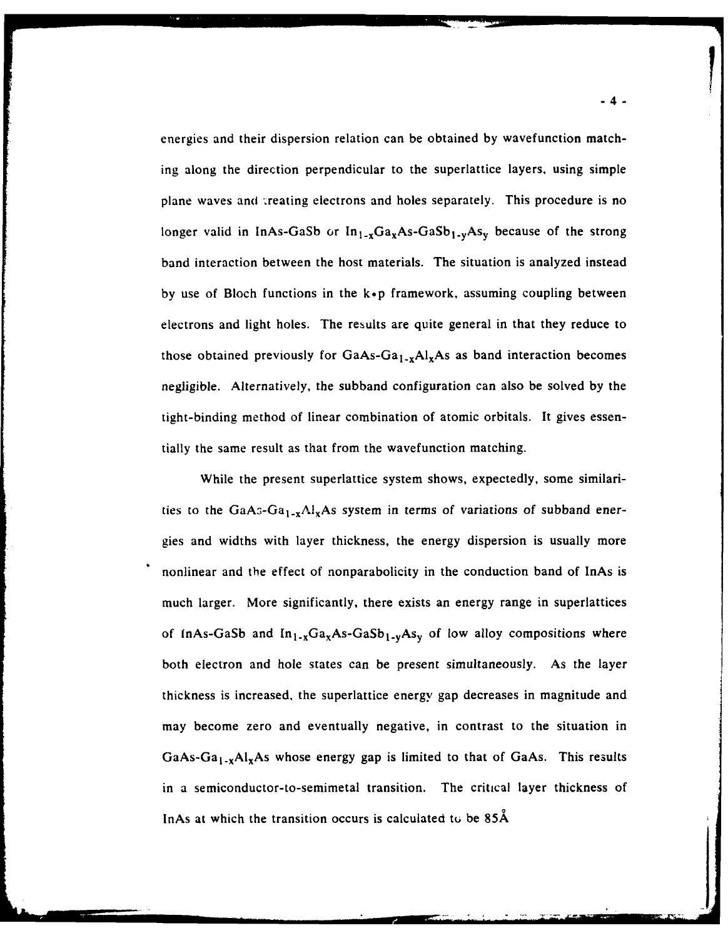energies and their dispersion relation can be obtained by wavefunction matching along the direction perpendicular to the superlattice layers, using simple plane waves and treating electrons and holes separately. This procedure is no longer valid in InAs-GaSb or  $In_{1-x}Ga_xAs-GaSb_1.$ <sub>V</sub>As<sub>v</sub> because of the strong band interaction between the host materials. The situation is analyzed instead by use of Bloch functions in the  $k \cdot p$  framework, assuming coupling between electrons and light holes. The results are quite general in that they reduce to those obtained previously for  $GaAs-Ga<sub>1-x</sub>Al<sub>x</sub>As$  as band interaction becomes negligible. Alternatively, the subband configuration can also be solved by the tight-binding method of linear combination of atomic orbitals. It gives essentially the same result as that from the wavefunction matching.

While the present superlattice system shows, expectedly, some similarities to the GaA<sub>3</sub>-Ga<sub>1-x</sub>Al<sub>x</sub>As system in terms of variations of subband energies and widths with layer thickness, the energy dispersion is usually more nonlinear and the effect of nonparabolicity in the conduction band of InAs is much larger. More significantly, there exists an energy range in superlattices of InAs-GaSb and  $In_{1-x}Ga_xAs-GaSb_{1-y}As_y$  of low alloy compositions where both electron and hole states can be present simultaneously. As the layer thickness is increased, the superlattice energy gap decreases in magnitude and may become zero and eventually negative, in contrast to the situation in GaAs-Ga<sub>1-x</sub>Al<sub>x</sub>As whose energy gap is limited to that of GaAs. This results in a semiconductor-to-semimetal transition. The critical layer thickness of InAs at which the transition occurs is calculated to be 85A

**F**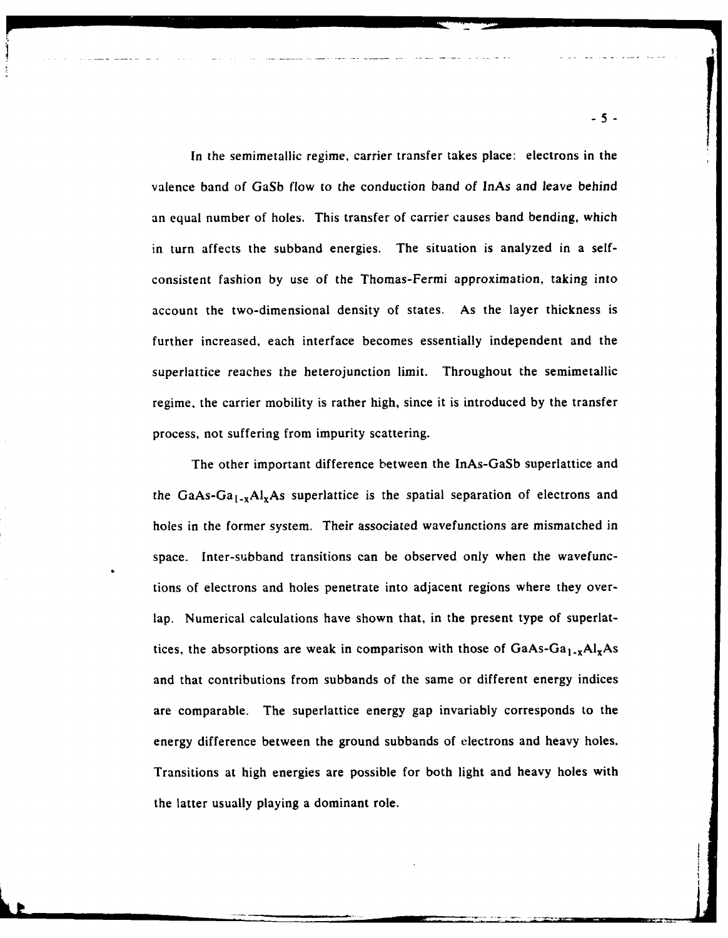In the semimetallic regime, carrier transfer takes place: electrons in the valence band of GaSb flow to the conduction band of InAs and leave behind an equal number of holes. This transfer of carrier causes band bending, which in turn affects the subband energies. The situation is analyzed in a selfconsistent fashion by use of the Thomas-Fermi approximation, taking into account the two-dimensional density of states. As the layer thickness is further increased, each interface becomes essentially independent and the superlattice reaches the heterojunction limit. Throughout the semimetallic regime, the carrier mobility is rather high, since it is introduced by the transfer process, not suffering from impurity scattering.

The other important difference between the InAs-GaSb superlattice and the GaAs-Ga<sub>1-x</sub>Al<sub>x</sub>As superlattice is the spatial separation of electrons and holes in the former system. Their associated wavefunctions are mismatched in space. Inter-subband transitions can be observed only when the wavefunctions of electrons and holes penetrate into adjacent regions where they overlap. Numerical calculations have shown that, in the present type of superlattices, the absorptions are weak in comparison with those of  $GaAs-Ga<sub>1-x</sub>Al<sub>x</sub>As$ and that contributions from subbands of the same or different energy indices are comparable. The superlattice energy gap invariably corresponds to the energy difference between the ground subbands of electrons and heavy holes. Transitions at high energies are possible for both light and heavy holes with the latter usually playing a dominant role.

- 5-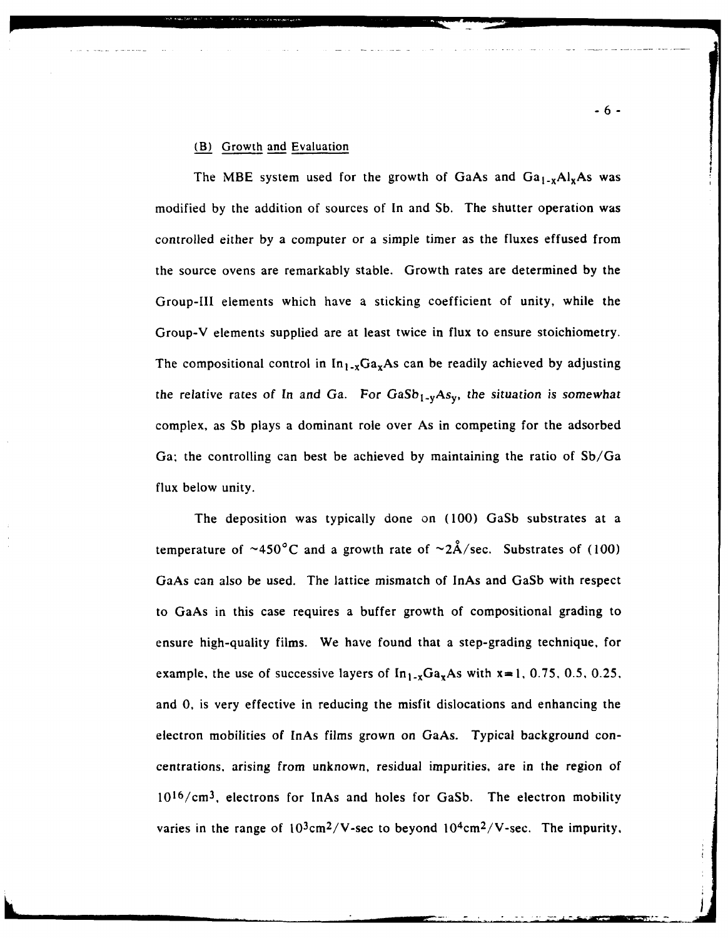### (B) Growth and Evaluation

The MBE system used for the growth of GaAs and  $Ga_{1-x}Al_xAs$  was modified **by** the addition of sources of In and Sb. The shutter operation was controlled either **by** a computer or a simple timer as the fluxes effused from the source ovens are remarkably stable. Growth rates are determined **by** the Group-Ill elements which have a sticking coefficient of unity, while the Group-V elements supplied are at least twice in flux to ensure stoichiometry. The compositional control in  $In_{1-x}Ga_xAs$  can be readily achieved by adjusting the relative rates of In and Ga. For  $GaSb_{1-y}As_y$ , the situation is somewhat complex, as Sb plays a dominant role over As in competing for the adsorbed Ga; the controlling can best be achieved **by** maintaining the ratio of Sb/Ga flux below unity.

The deposition was typically done on (100) GaSb substrates at a temperature of  $\sim$ 450°C and a growth rate of  $\sim$ 2Å/sec. Substrates of (100) GaAs can also be used. The lattice mismatch of InAs and GaSb with respect to GaAs in this case requires a buffer growth of compositional grading to ensure high-quality films. We have found that a step-grading technique, for example, the use of successive layers of  $In_{1-x}Ga_xAs$  with  $x=1, 0.75, 0.5, 0.25$ . and 0, is very effective in reducing the misfit dislocations and enhancing the electron mobilities of InAs films grown on GaAs. Typical background concentrations, arising from unknown, residual impurities, are in the region of  $10^{16}/\text{cm}^3$ , electrons for InAs and holes for GaSb. The electron mobility varies in the range of  $10^3$ cm<sup>2</sup>/V-sec to beyond  $10^4$ cm<sup>2</sup>/V-sec. The impurity,

**-6-**

**'\_7.**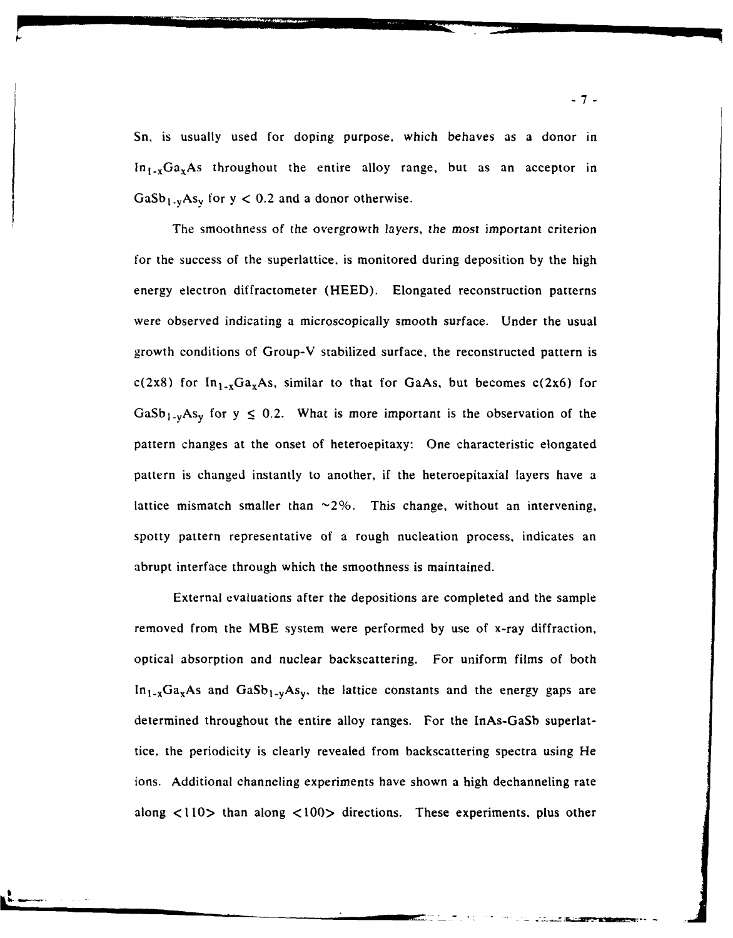*Sn,* is usually used for doping purpose, which behaves as a donor in  $\ln_{1-x}Ga_xAs$  throughout the entire alloy range, but as an acceptor in  $GaSb<sub>1-v</sub>As<sub>v</sub>$  for  $y < 0.2$  and a donor otherwise.

The smoothness of the overgrowth layers, the most important criterion for the success of the superlattice, is monitored during deposition by the high energy electron diffractometer (HEED). Elongated reconstruction patterns were observed indicating a microscopically smooth surface. Under the usual growth conditions of Group-V stabilized surface, the reconstructed pattern is c(2x8) for  $In_{1-x}Ga_xAs$ , similar to that for GaAs, but becomes c(2x6) for GaSb<sub>1-y</sub>As<sub>y</sub> for  $y \le 0.2$ . What is more important is the observation of the pattern changes at the onset of heteroepitaxy: One characteristic elongated pattern is changed instantly to another, if the heteroepitaxial layers have a lattice mismatch smaller than  $\sim$ 2%. This change, without an intervening, spotty pattern representative of a rough nucleation process, indicates an abrupt interface through which the smoothness is maintained.

External evaluations after the depositions are completed and the sample removed from the MBE system were performed by use of x-ray diffraction, optical absorption and nuclear backscattering. For uniform films of both  $In_{1-x}Ga_xAs$  and  $GaSb_{1-y}As_y$ , the lattice constants and the energy gaps are determined throughout the entire alloy ranges. For the InAs-GaSb superlattice, the periodicity is clearly revealed from backscattering spectra using He ions. Additional channeling experiments have shown a high dechanneling rate along  $\langle 110 \rangle$  than along  $\langle 100 \rangle$  directions. These experiments, plus other

 $\mathbf{r}$ 

-7-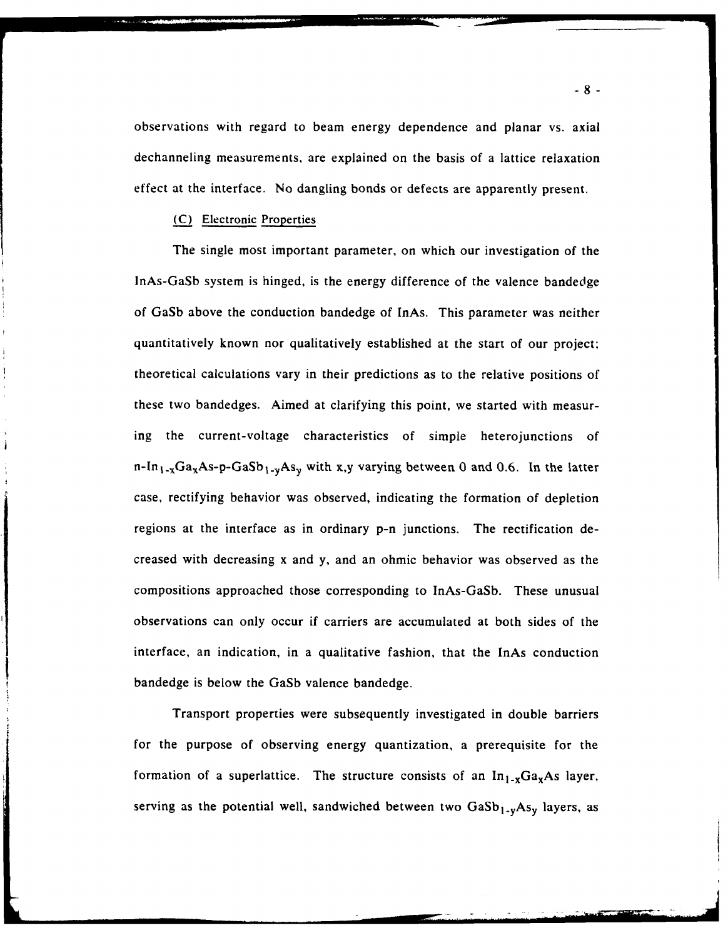observations with regard to beam energy dependence and planar vs. axial dechanneling measurements, are explained on the basis of a lattice relaxation effect at the interface. No dangling bonds or defects are apparently present.

## (C) Electronic Properties

The single most important parameter, on which our investigation of the lnAs-GaSb system is hinged, is the energy difference of the valence bandedge of GaSb above the conduction bandedge of InAs. This parameter was neither quantitatively known nor qualitatively established at the start of our project: theoretical calculations vary in their predictions as to the relative positions of these two bandedges. Aimed at clarifying this point, we started with measuring the current-voltage characteristics of simple heterojunctions of n-In<sub>1-x</sub>Ga<sub>x</sub>As-p-GaSb<sub>1-y</sub>As<sub>y</sub> with x,y varying between 0 and 0.6. In the latter case, rectifying behavior was observed, indicating the formation of depletion regions at the interface as in ordinary p-n junctions. The rectification decreased with decreasing x and y, and an ohmic behavior was observed as the compositions approached those corresponding to InAs-GaSb. These unusual observations can only occur if carriers are accumulated at both sides of the interface, an indication, in a qualitative fashion, that the InAs conduction bandedge is below the GaSb valence bandedge.

Transport properties were subsequently investigated in double barriers for the purpose of observing energy quantization, a prerequisite for the formation of a superlattice. The structure consists of an  $\ln_{1-x}Ga_xAs$  layer, serving as the potential well, sandwiched between two  $GaSb_{1-y}As_y$  layers, as

**-8-**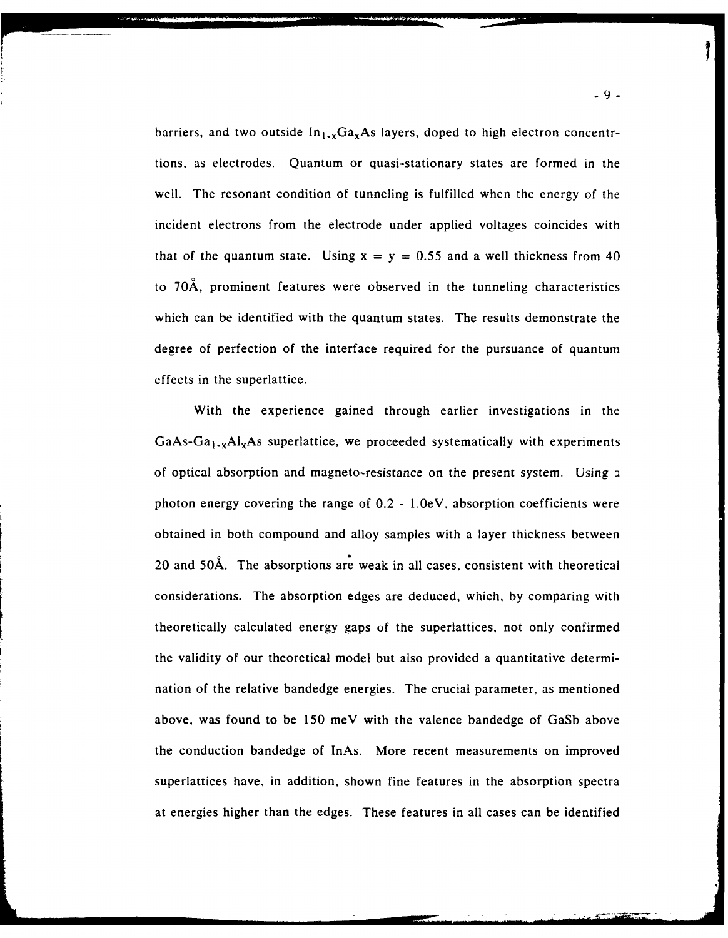barriers, and two outside  $In_{1-x}Ga_xAs$  layers, doped to high electron concentrtions, as electrodes. Quantum or quasi-stationary states are formed in the well. The resonant condition of tunneling is fulfilled when the energy of the incident electrons from the electrode under applied voltages coincides with that of the quantum state. Using  $x = y = 0.55$  and a well thickness from 40 to 70A, prominent features were observed in the tunneling characteristics which can be identified with the quantum states. The results demonstrate the degree of perfection of the interface required for the pursuance of quantum effects in the superlattice.

With the experience gained through earlier investigations in the  $GaAs-Ga<sub>1-x</sub>A<sub>x</sub>A<sub>x</sub>$  superlattice, we proceeded systematically with experiments of optical absorption and magneto-resistance on the present system. Using a photon energy covering the range of 0.2 **-** 1.0eV, absorption coefficients were obtained in both compound and alloy samples with a layer thickness between 20 and 50A. The absorptions are weak in all cases, consistent with theoretical considerations. The absorption edges are deduced, which, by comparing with theoretically calculated energy gaps of the superlattices, not only confirmed the validity of our theoretical model but also provided a quantitative determination of the relative bandedge energies. The crucial parameter, as mentioned above, was found to be 150 meV with the valence bandedge of GaSb above the conduction bandedge of InAs. More recent measurements on improved superlattices have, in addition, shown fine features in the absorption spectra at energies higher than the edges. These features in all cases can be identified

**-9-**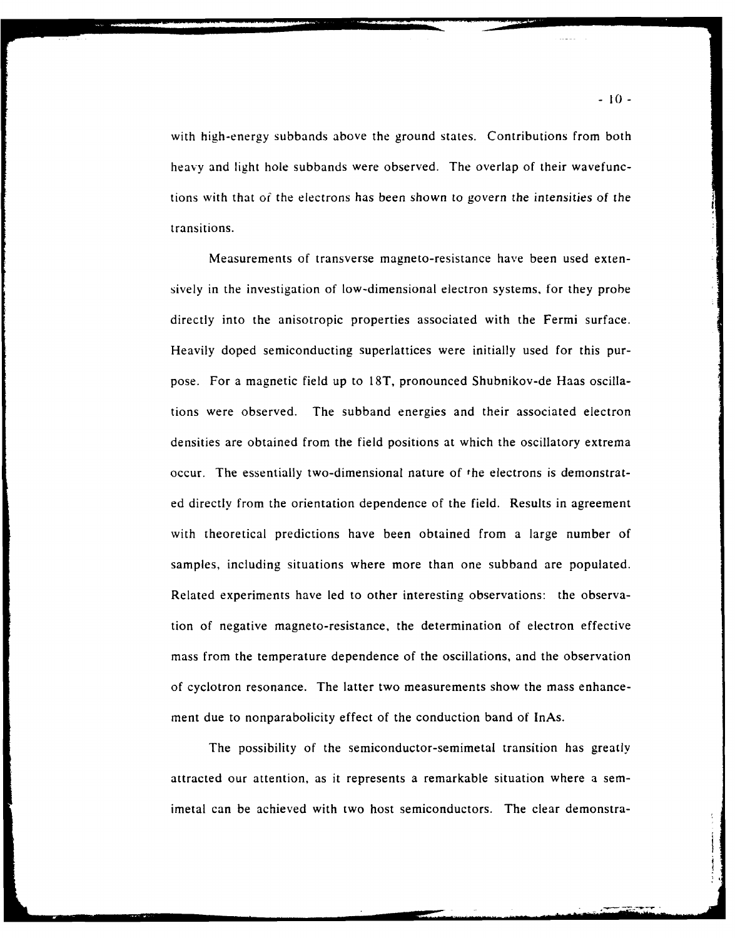with high-energy subbands above the ground states. Contributions from both heavy and light hole subbands were observed. The overlap of their wavefunctions with that of the electrons has been shown to govern the intensities of the transitions.

Measurements of transverse magneto-resistance have been used extensively in the investigation of low-dimensional electron systems, for they probe directly into the anisotropic properties associated with the Fermi surface. Heavily doped semiconducting superlattices were initially used for this purpose. For a magnetic field up to 18T, pronounced Shubnikov-de Haas oscillations were observed. The subband energies and their associated electron densities are obtained from the field positions at which the oscillatory extrema occur. The essentially two-dimensional nature of the electrons is demonstrated directly from the orientation dependence of the field. Results in agreement with theoretical predictions have been obtained from a large number of samples, including situations where more than one subband are populated. Related experiments have led to other interesting observations: the observation of negative magneto-resistance, the determination of electron effective mass from the temperature dependence of the oscillations, and the observation of cyclotron resonance. The latter two measurements show the mass enhancement due to nonparabolicity effect of the conduction band of InAs.

The possibility of the semiconductor-semimetal transition has greatly attracted our attention, as it represents a remarkable situation where a semimetal can be achieved with two host semiconductors. The clear demonstra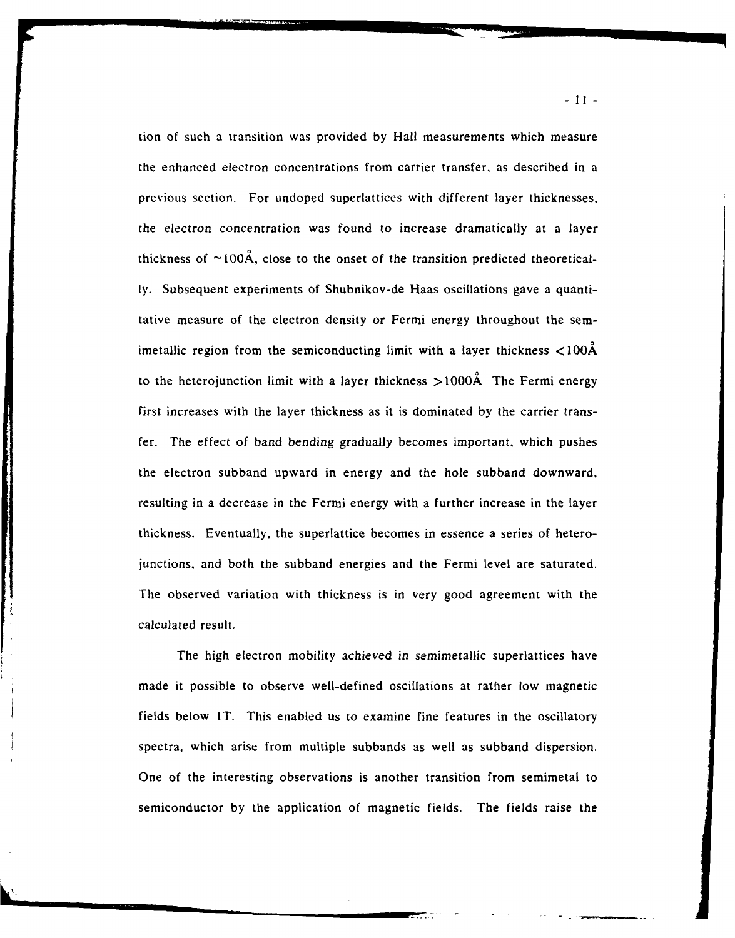tion of such a transition was provided **by** Hall measurements which measure the enhanced electron concentrations from carrier transfer, as described in a previous section. For undoped superlattices with different layer thicknesses, the electron concentration was found to increase dramatically at a layer thickness of  $\sim$ 100Å, close to the onset of the transition predicted theoretically. Subsequent experiments of Shubnikov-de Haas oscillations gave a quantitative measure of the electron density or Fermi energy throughout the semimetallic region from the semiconducting limit with a layer thickness **<100A** to the heterojunction limit with a layer thickness  $>1000\text{\AA}$  The Fermi energy first increases with the layer thickness as it is dominated by the carrier transfer. The effect of band bending gradually becomes important, which pushes the electron subband upward in energy and the hole subband downward, resulting in a decrease in the Fermi energy with a further increase in the layer thickness. Eventually, the superlattice becomes in essence a series of heterojunctions, and both the subband energies and the Fermi level are saturated. The observed variation with thickness is in very good agreement with the calculated result.

The high electron mobility achieved in semimetallic superlattices have made it possible to observe well-defined oscillations at rather low magnetic fields below IT. This enabled us to examine fine features in the oscillatory spectra, which arise from multiple subbands as well as subband dispersion. One of the interesting observations is another transition from semimetal to semiconductor **by** the application of magnetic fields. The fields raise the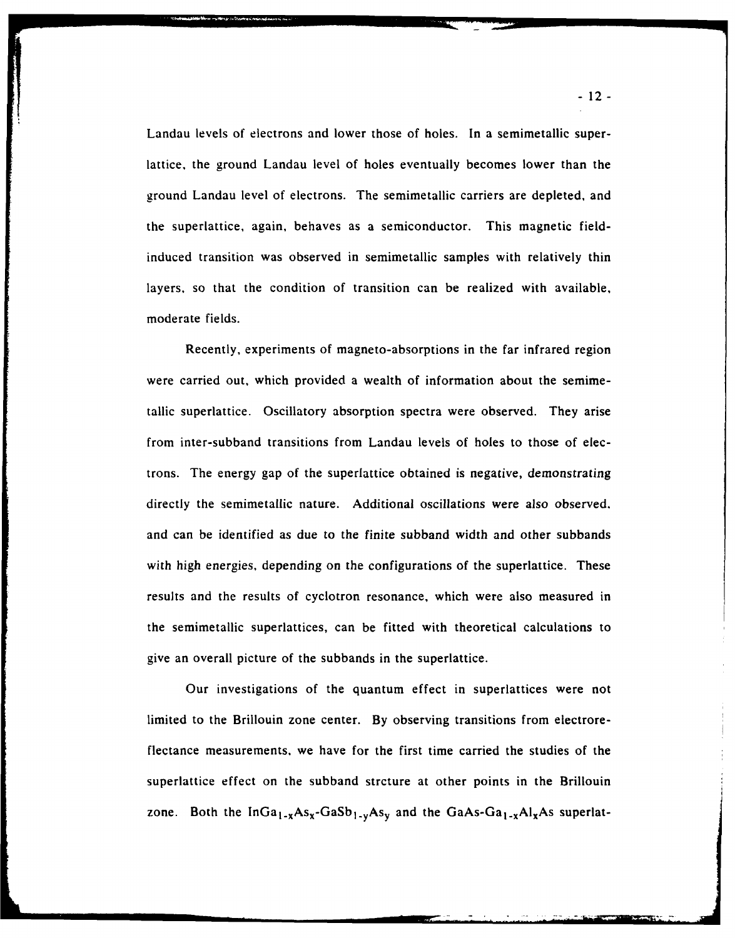Landau levels of electrons and lower those of holes. In a semimetallic superlattice, the ground Landau level of holes eventually becomes lower than the ground Landau level of electrons. The semimetallic carriers are depleted, and the superlattice, again, behaves as a semiconductor. This magnetic fieldinduced transition was observed in semimetallic samples with relatively thin layers, so that the condition of transition can be realized with available, moderate fields.

Recently, experiments of magneto-absorptions in the far infrared region were carried out, which provided a wealth of information about the semimetallic superlattice. Oscillatory absorption spectra were observed. They arise from inter-subband transitions from Landau levels of holes to those of electrons. The energy gap of the superlattice obtained is negative, demonstrating directly the semimetallic nature. Additional oscillations were also observed. and can be identified as due to the finite subband width and other subbands with high energies, depending on the configurations of the superlattice. These results and the results of cyclotron resonance, which were also measured in the semimetallic superlattices, can be fitted with theoretical calculations to give an overall picture of the subbands in the superlattice.

Our investigations of the quantum effect in superlattices were not limited to the Brillouin zone center. **By** observing transitions from electroreflectance measurements, we have for the first time carried the studies of the superlattice effect on the subband strcture at other points in the Brillouin zone. Both the  $InGa_{1-x}As_x-GaSb_{1-y}As_y$  and the GaAs-Ga<sub>1-x</sub>Al<sub>x</sub>As superlat-

-12-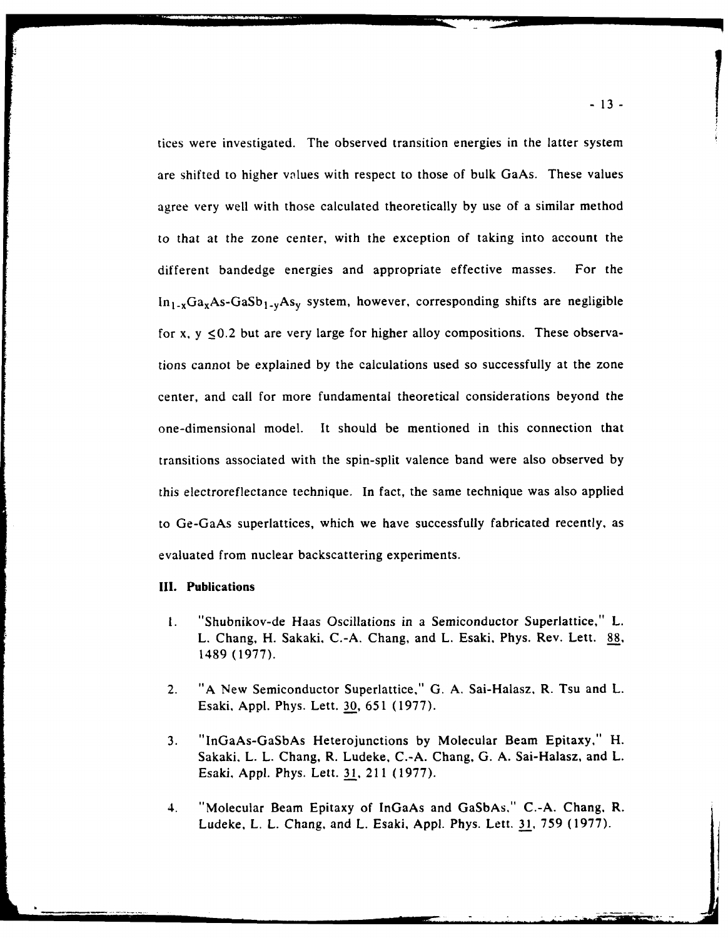tices were investigated. The observed transition energies in the latter system are shifted to higher values with respect to those of bulk GaAs. These values agree very well with those calculated theoretically by use of a similar method to that at the zone center, with the exception of taking into account the different bandedge energies and appropriate effective masses. For the  $In_{1-x}Ga_xAs-GaSb_{1-y}As_y$  system, however, corresponding shifts are negligible for x,  $y \le 0.2$  but are very large for higher alloy compositions. These observations cannot be explained by the calculations used so successfully at the zone center, and call for more fundamental theoretical considerations beyond the one-dimensional model. It should be mentioned in this connection that transitions associated with the spin-split valence band were also observed by this electroreflectance technique. In fact, the same technique was also applied to Ge-GaAs superlattices, which we have successfully fabricated recently, as evaluated from nuclear backscattering experiments.

## **III. Publications**

- 1. "Shubnikov-de Haas Oscillations in a Semiconductor Superlattice," L. L. Chang, H. Sakaki, C.-A. Chang, and L. Esaki, Phys. Rev. Lett. **88,** 1489 (1977).
- 2. "A New Semiconductor Superlattice," G. A. Sai-Halasz. R. Tsu and L. Esaki, Appl. Phys. Lett. 30, 651 (1977).
- 3. "InGaAs-GaSbAs Heterojunctions by Molecular Beam Epitaxy," H. Sakaki, L. L. Chang, R. Ludeke, C.-A. Chang, G. A. Sai-Halasz, and L. Esaki, Appl. Phys. Lett. 31, 211 (1977).
- 4. "Molecular Beam Epitaxy of InGaAs and GaSbAs." C.-A. Chang, R. Ludeke, L. L. Chang, and L. Esaki, Appl. Phys. Lett. 31, 759 (1977).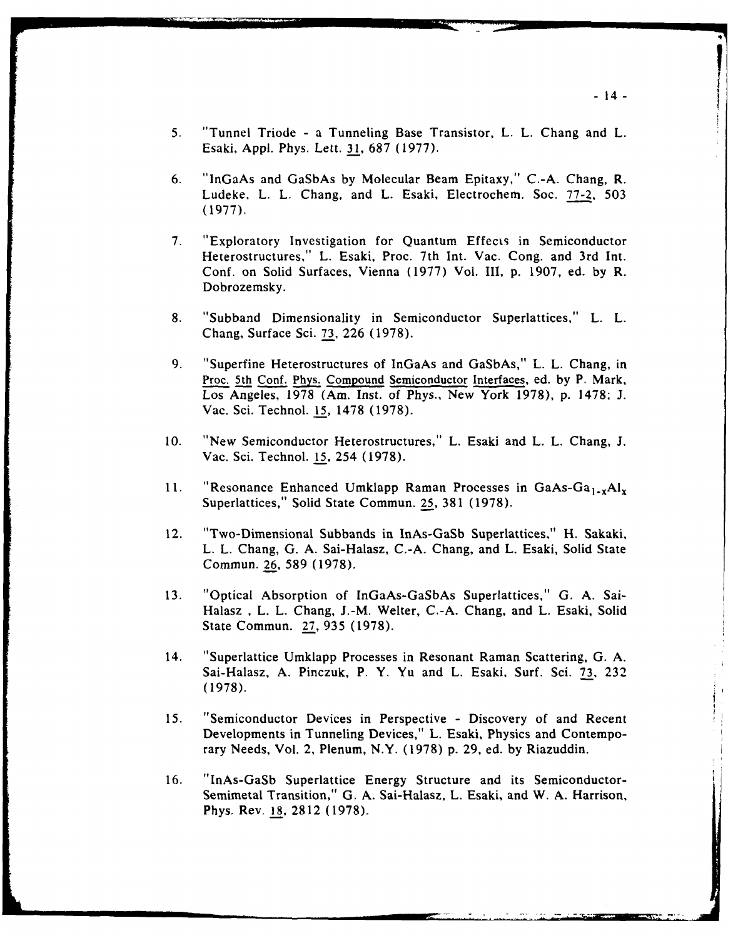- 5. "Tunnel Triode a Tunneling Base Transistor, L. L. Chang and L. Esaki, Appl. Phys. Lett. 31, 687 (1977).
- 6. "InGaAs and GaSbAs by Molecular Beam Epitaxy," C.-A. Chang, R. Ludeke, L. L. Chang, and L. Esaki, Electrochem. Soc. 77-2, 503 (1977).
- 7. "Exploratory Investigation for Quantum Effects in Semiconductor Heterostructures," L. Esaki, Proc. 7th Int. Vac. Cong. and 3rd Int. Conf. on Solid Surfaces, Vienna (1977) Vol. III, p. 1907, ed. by R. Dobrozemsky.
- 8. "Subband Dimensionality in Semiconductor Superlattices," L. L. Chang, Surface Sci. 73, 226 (1978).
- 9. "Superfine Heterostructures of InGaAs and GaSbAs," L. L. Chang, in Proc. 5th Conf. Phys. Compound Semiconductor Interfaces, ed. by P. Mark, Los Angeles, 1978 (Am. Inst. of Phys., New York 1978), p. 1478; J. Vac. Sci. Technol. 15, 1478 (1978).
- 10. "New Semiconductor Heterostructures," L. Esaki and L. L. Chang, J. Vac. Sci. Technol. 15, 254 (1978).
- 11. "Resonance Enhanced Umklapp Raman Processes in GaAs-Ga<sub>1-x</sub>Al<sub>x</sub> Superlattices," Solid State Commun. 25, 381 (1978).
- 12. "Two-Dimensional Subbands in InAs-GaSb Superlattices," H. Sakaki, L. L. Chang, G. A. Sai-Halasz, C.-A. Chang, and L. Esaki, Solid State Commun. 26, 589 (1978).
- 13. "Optical Absorption of InGaAs-GaSbAs Superlattices," G. A. Sai-Halasz , L. L. Chang, J.-M. Welter, C.-A. Chang, and L. Esaki, Solid State Commun. 27, 935 (1978).
- 14. "Superlattice Umklapp Processes in Resonant Raman Scattering, G. A. Sai-Halasz, A. Pinczuk, P. Y. Yu and L. Esaki, Surf. Sci. 73, 232 (1978).
- 15. "Semiconductor Devices in Perspective Discovery of and Recent Developments in Tunneling Devices," L. Esaki, Physics and Contemporary Needs, Vol. 2, Plenum, N.Y. (1978) p. 29, ed. by Riazuddin.
- 16. "InAs-GaSb Superlattice Energy Structure and its Semiconductor-Semimetal Transition," G. A. Sai-Halasz, L. Esaki, and W. A. Harrison, Phys. Rev. 18, 2812 (1978).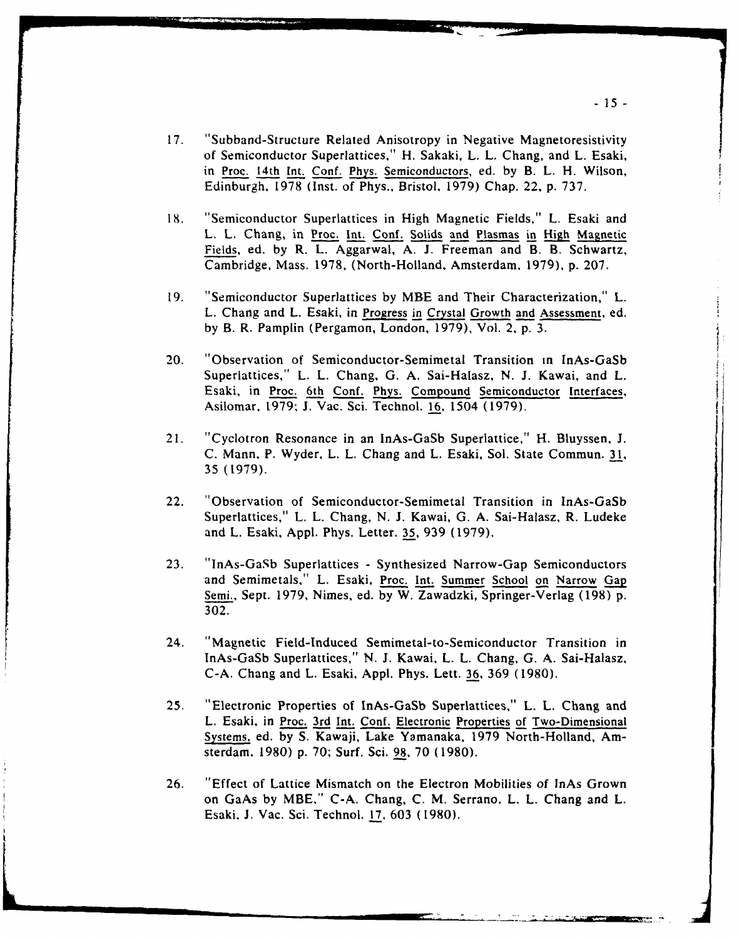- 17. "Subband-Structure Related Anisotropy in Negative Magnetoresistivity of Semiconductor Superlattices," H. Sakaki, L. L. Chang, and L. Esaki, in Proc. 14th Int. Conf. Phys. Semiconductors, ed. by B. L. H. Wilson, Edinburgh, 1978 (Inst. of Phys., Bristol, 1979) Chap. 22, p. 737.
- 18. "Semiconductor Superlattices in High Magnetic Fields," L. Esaki and L. L. Chang, in Proc. Int. Conf. Solids and Plasmas in High Magnetic Fields, ed. by R. *L.* Aggarwal, A. **J.** Freeman and B. B. Schwartz, Cambridge, Mass. 1978, (North-Holland, Amsterdam, 1979), p. 207.
- 19. "Semiconductor Superlattices by MBE and Their Characterization," L. L. Chang and L. Esaki, in Progress in Crystal Growth and Assessment, ed. by B. R. Pamplin (Pergamon, London, 1979), Vol. 2, p. 3.
- 20. "Observation of Semiconductor-Semimetal Transition in InAs-GaSb Superlattices," L. L. Chang, G. A. Sai-Halasz, N. J. Kawai, and L. Esaki, in Proc. 6th Conf. Phys. Compound Semiconductor Interfaces, Asilomar, 1979; J. Vac. Sci. Technol. 16, 1504 (1979).
- 21. "Cyclotron Resonance in an InAs-GaSb Superlattice," H. Bluyssen. J. C. Mann, P. Wyder, L. L. Chang and L. Esaki, Sol. State Commun. **31,** 35 (1979).
- 22. "Observation of Semiconductor-Semimetal Transition in InAs-GaSb Superlattices," L. L. Chang, N. J. Kawai, G. A. Sai-Halasz, R. Ludeke and L. Esaki, Appl. Phys. Letter. **35,** 939 (1979).
- 23. "InAs-GaSb Superlattices Synthesized Narrow-Gap Semiconductors and Semimetals," L. Esaki, Proc. Int. Summer School on Narrow Gap Semi., Sept. **1979,** Nimes, ed. **by** W. Zawadzki, Springer-Verlag (198) p. 302.
- 24. "Magnetic Field-Induced Semimetal-to-Semiconductor Transition in InAs-GaSb Superlattices," N. J. Kawai, L. L. Chang, G. A. Sai-Halasz, C-A. Chang and L. Esaki, Appl. Phys. Lett. **36, 369** (1980).
- 25. "Electronic Properties of InAs-GaSb Superlattices," L. L. Chang and L. Esaki, in Proc. 3rd Int. Conf. Electronic Properties of Two-Dimensional Systems, ed. **by** S. Kawaji, Lake Yamanaka, **1979** North-Holland, Amsterdam, 1980) p. **70;** Surf. Sci. **98,** 70 (1980).
- 26. "Effect of Lattice Mismatch on the Electron Mobilities of InAs Grown on GaAs **by** MBE," C-A. Chang, C. M. Serrano, L. L. Chang and L. Esaki, J. Vac. Sci. Technol. 17, **603** (1980).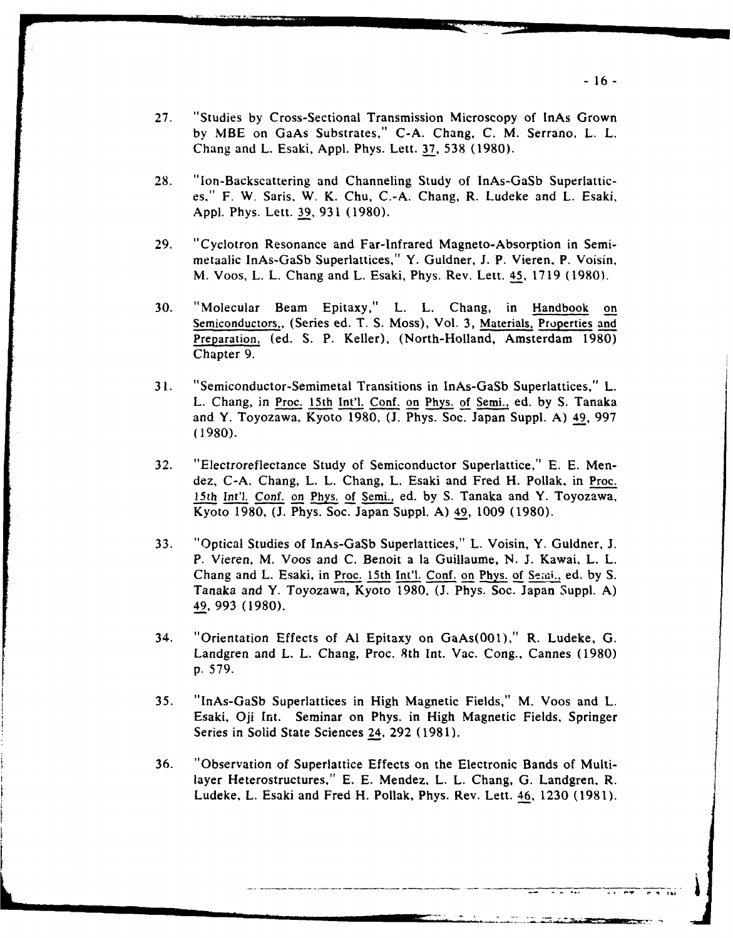- 27. "Studies by Cross-Sectional Transmission Microscopy of InAs Grown by MBE on GaAs Substrates," C-A. Chang, C. M. Serrano, L. L. Chang and L. Esaki, Appl. Phys. Lett. **37,** 538 (1980).
- 28. "lon-Backscattering and Channeling Study of InAs-GaSb Superlattices," F. W. Saris, W. K. Chu, C.-A. Chang, R. Ludeke and L. Esaki, **Appl.** Phys. Lett. 39, 931 (1980).
- 29. "Cyclotron Resonance and Far-Infrared Magneto-Absorption in Semimetaalic InAs-GaSb Superlattices," Y. Guldner, J. P. Vieren, P. Voisin, M. Voos, L. L. Chang and L. Esaki, Phys. Rev. Lett. 45, 1719 (1980).
- 30. "Molecular Beam Epitaxy," L. L. Chang, in Handbook on Semiconductors,, (Series ed. T. S. Moss), Vol. **3,** Materials, Properties and Preparation, (ed. S. P. Keller), (North-Holland, Amsterdam 1980) Chapter 9.
- **31.** "Semiconductor-Semimetal Transitions in InAs-GaSb Superlattices," L. L. Chang, in Proc. 15th Int'l. Conf. on Phys. of Semi., ed. by S. Tanaka and Y. Toyozawa, Kyoto 1980, (J. Phys. Soc. Japan Suppl. A) 49, 997 (1980).
- 32. "Electroreflectance Study of Semiconductor Superlattice," E. E. Mendez, C-A. Chang, L. L. Chang, L. Esaki and Fred H. Pollak, in Proc. 15th Int'l. Conf. on Phys. of Semi., ed. by S. Tanaka and Y. Toyozawa, Kyoto 1980, (J. Phys. Soc. Japan Suppl. A) 49, 1009 (1980).
- 33. "Optical Studies of InAs-GaSb Superlattices," L. Voisin, Y. Guldner, **J.** P. Vieren, M. Voos and C. Benoit a la Guillaume, N. J. Kawai. L. L. Chang and L. Esaki, in Proc. 15th Int'l. Conf. on Phys. of Semi., ed. by S. Tanaka and Y. Toyozawa, Kyoto 1980, (J. Phys. Soc. Japan Suppl. A) 49, 993 (1980).
- 34. "Orientation Effects of Al Epitaxy on GaAs(001)," R. Ludeke, G. Landgren and L. L. Chang, Proc. 8th Int. Vac. Cong., Cannes (1980) p. 579.
- 35. "InAs-GaSb Superlattices in High Magnetic Fields," M. Voos and L. Esaki, Oji Int. Seminar on Phys. in High Magnetic Fields, Springer Series in Solid State Sciences 24, 292 (1981).
- 36. "Observation of Superlattice Effects on the Electronic Bands of Multilayer Heterostructures," E. E. Mendez, L. L. Chang, G. Landgren, R. Ludeke, L. Esaki and Fred H. Pollak, Phys. Rev. Lett. 46, 1230 (1981).